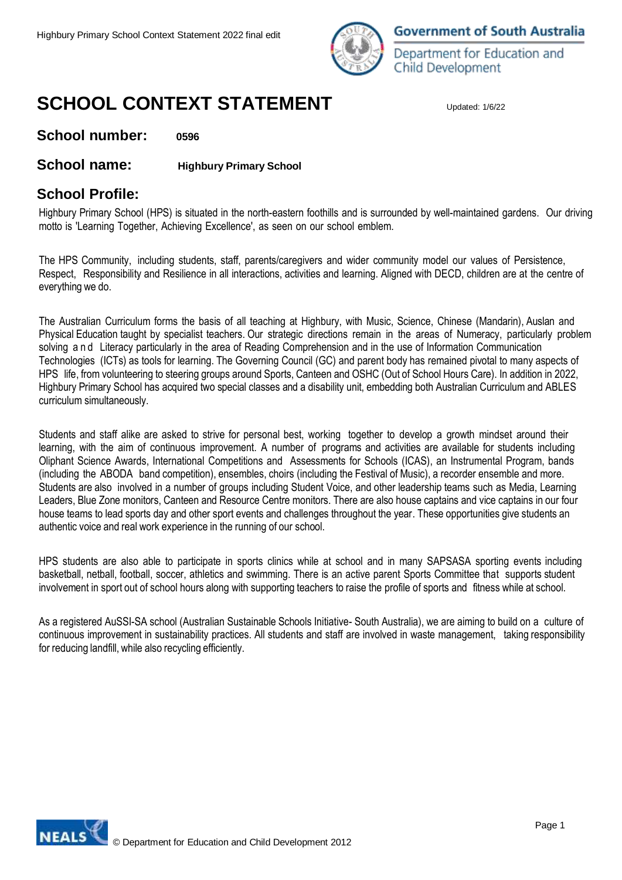

**Government of South Australia** 

Department for Education and Child Development

# **SCHOOL CONTEXT STATEMENT**

**School number: 0596**

### **School name: Highbury Primary School**

### **School Profile:**

Highbury Primary School (HPS) is situated in the north-eastern foothills and is surrounded by well-maintained gardens. Our driving motto is 'Learning Together, Achieving Excellence', as seen on our school emblem.

The HPS Community, including students, staff, parents/caregivers and wider community model our values of Persistence, Respect, Responsibility and Resilience in all interactions, activities and learning. Aligned with DECD, children are at the centre of everything we do.

The Australian Curriculum forms the basis of all teaching at Highbury, with Music, Science, Chinese (Mandarin), Auslan and Physical Education taught by specialist teachers. Our strategic directions remain in the areas of Numeracy, particularly problem solving a n d Literacy particularly in the area of Reading Comprehension and in the use of Information Communication Technologies (ICTs) as tools for learning. The Governing Council (GC) and parent body has remained pivotal to many aspects of HPS life, from volunteering to steering groups around Sports, Canteen and OSHC (Out of School Hours Care). In addition in 2022, Highbury Primary School has acquired two special classes and a disability unit, embedding both Australian Curriculum and ABLES curriculum simultaneously.

Students and staff alike are asked to strive for personal best, working together to develop a growth mindset around their learning, with the aim of continuous improvement. A number of programs and activities are available for students including Oliphant Science Awards, International Competitions and Assessments for Schools (ICAS), an Instrumental Program, bands (including the ABODA band competition), ensembles, choirs (including the Festival of Music), a recorder ensemble and more. Students are also involved in a number of groups including Student Voice, and other leadership teams such as Media, Learning Leaders, Blue Zone monitors, Canteen and Resource Centre monitors. There are also house captains and vice captains in our four house teams to lead sports day and other sport events and challenges throughout the year. These opportunities give students an authentic voice and real work experience in the running of our school.

HPS students are also able to participate in sports clinics while at school and in many SAPSASA sporting events including basketball, netball, football, soccer, athletics and swimming. There is an active parent Sports Committee that supports student involvement in sport out of school hours along with supporting teachers to raise the profile of sports and fitness while at school.

As a registered AuSSI-SA school (Australian Sustainable Schools Initiative- South Australia), we are aiming to build on a culture of continuous improvement in sustainability practices. All students and staff are involved in waste management, taking responsibility for reducing landfill, while also recycling efficiently.

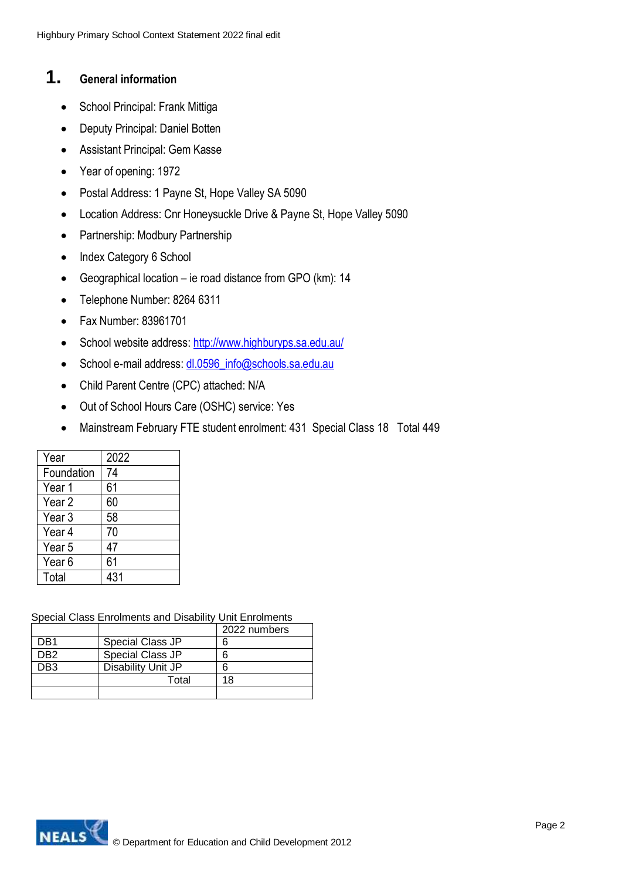### **1. General information**

- School Principal: Frank Mittiga
- Deputy Principal: Daniel Botten
- Assistant Principal: Gem Kasse
- Year of opening: 1972
- Postal Address: 1 Payne St, Hope Valley SA 5090
- Location Address: Cnr Honeysuckle Drive & Payne St, Hope Valley 5090
- Partnership: Modbury Partnership
- Index Category 6 School
- Geographical location ie road distance from GPO (km): 14
- Telephone Number: 8264 6311
- Fax Number: 83961701
- School website address: <http://www.highburyps.sa.edu.au/>
- School e-mail address: dl.0596 info@schools.sa.edu.au
- Child Parent Centre (CPC) attached: N/A
- Out of School Hours Care (OSHC) service: Yes
- Mainstream February FTE student enrolment: 431 Special Class 18 Total 449

| Year              | 2022 |
|-------------------|------|
| Foundation        | 74   |
| Year 1            | 61   |
| Year 2            | 60   |
| Year <sub>3</sub> | 58   |
| Year 4            | 70   |
| Year 5            | 47   |
| Year <sub>6</sub> | 61   |
| Total             | 431  |

Special Class Enrolments and Disability Unit Enrolments

|     |                    | 2022 numbers |
|-----|--------------------|--------------|
| DR1 | Special Class JP   |              |
| DR2 | Special Class JP   |              |
| PR? | Disability Unit JP |              |
|     | Total              | 18           |
|     |                    |              |

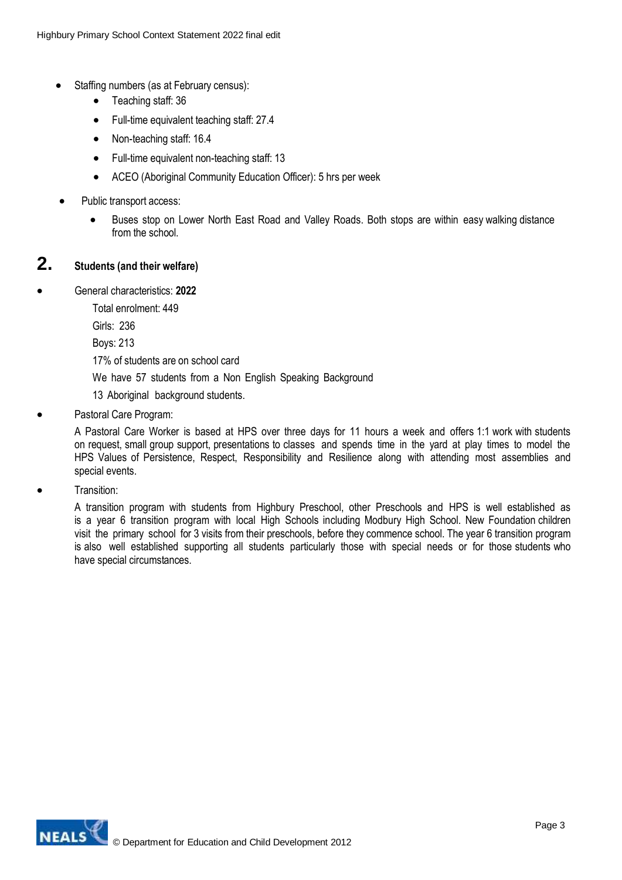- Staffing numbers (as at February census):
	- Teaching staff: 36
	- Full-time equivalent teaching staff: 27.4
	- Non-teaching staff: 16.4
	- Full-time equivalent non-teaching staff: 13
	- ACEO (Aboriginal Community Education Officer): 5 hrs per week
- Public transport access:
	- Buses stop on Lower North East Road and Valley Roads. Both stops are within easy walking distance from the school.

### **2. Students (and their welfare)**

General characteristics: **2022**

Total enrolment: 449

Girls: 236

Boys: 213

17% of students are on school card

We have 57 students from a Non English Speaking Background

- 13 Aboriginal background students.
- Pastoral Care Program:

A Pastoral Care Worker is based at HPS over three days for 11 hours a week and offers 1:1 work with students on request, small group support, presentations to classes and spends time in the yard at play times to model the HPS Values of Persistence, Respect, Responsibility and Resilience along with attending most assemblies and special events.

**•** Transition:

A transition program with students from Highbury Preschool, other Preschools and HPS is well established as is a year 6 transition program with local High Schools including Modbury High School. New Foundation children visit the primary school for 3 visits from their preschools, before they commence school. The year 6 transition program is also well established supporting all students particularly those with special needs or for those students who have special circumstances.

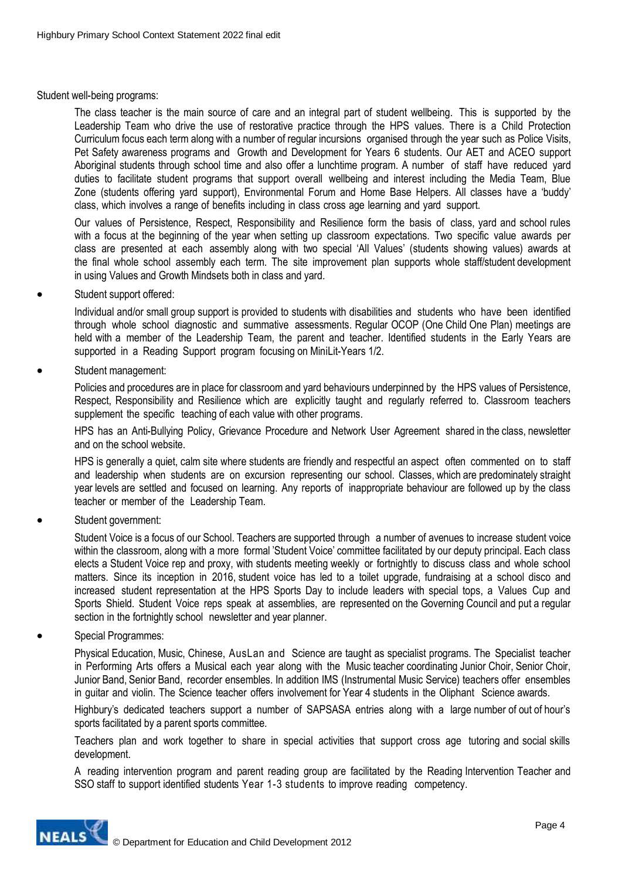Student well-being programs:

The class teacher is the main source of care and an integral part of student wellbeing. This is supported by the Leadership Team who drive the use of restorative practice through the HPS values. There is a Child Protection Curriculum focus each term along with a number of regular incursions organised through the year such as Police Visits, Pet Safety awareness programs and Growth and Development for Years 6 students. Our AET and ACEO support Aboriginal students through school time and also offer a lunchtime program. A number of staff have reduced yard duties to facilitate student programs that support overall wellbeing and interest including the Media Team, Blue Zone (students offering yard support), Environmental Forum and Home Base Helpers. All classes have a 'buddy' class, which involves a range of benefits including in class cross age learning and yard support.

Our values of Persistence, Respect, Responsibility and Resilience form the basis of class, yard and school rules with a focus at the beginning of the year when setting up classroom expectations. Two specific value awards per class are presented at each assembly along with two special 'All Values' (students showing values) awards at the final whole school assembly each term. The site improvement plan supports whole staff/student development in using Values and Growth Mindsets both in class and yard.

Student support offered:

Individual and/or small group support is provided to students with disabilities and students who have been identified through whole school diagnostic and summative assessments. Regular OCOP (One Child One Plan) meetings are held with a member of the Leadership Team, the parent and teacher. Identified students in the Early Years are supported in a Reading Support program focusing on MiniLit-Years 1/2.

Student management:

Policies and procedures are in place for classroom and yard behaviours underpinned by the HPS values of Persistence, Respect, Responsibility and Resilience which are explicitly taught and regularly referred to. Classroom teachers supplement the specific teaching of each value with other programs.

HPS has an Anti-Bullying Policy, Grievance Procedure and Network User Agreement shared in the class, newsletter and on the school website.

HPS is generally a quiet, calm site where students are friendly and respectful an aspect often commented on to staff and leadership when students are on excursion representing our school. Classes, which are predominately straight year levels are settled and focused on learning. Any reports of inappropriate behaviour are followed up by the class teacher or member of the Leadership Team.

Student government:

Student Voice is a focus of our School. Teachers are supported through a number of avenues to increase student voice within the classroom, along with a more formal 'Student Voice' committee facilitated by our deputy principal. Each class elects a Student Voice rep and proxy, with students meeting weekly or fortnightly to discuss class and whole school matters. Since its inception in 2016, student voice has led to a toilet upgrade, fundraising at a school disco and increased student representation at the HPS Sports Day to include leaders with special tops, a Values Cup and Sports Shield. Student Voice reps speak at assemblies, are represented on the Governing Council and put a regular section in the fortnightly school newsletter and year planner.

Special Programmes:

Physical Education, Music, Chinese, AusLan and Science are taught as specialist programs. The Specialist teacher in Performing Arts offers a Musical each year along with the Music teacher coordinating Junior Choir, Senior Choir, Junior Band, Senior Band, recorder ensembles. In addition IMS (Instrumental Music Service) teachers offer ensembles in guitar and violin. The Science teacher offers involvement for Year 4 students in the Oliphant Science awards.

Highbury's dedicated teachers support a number of SAPSASA entries along with a large number of out of hour's sports facilitated by a parent sports committee.

Teachers plan and work together to share in special activities that support cross age tutoring and social skills development.

A reading intervention program and parent reading group are facilitated by the Reading Intervention Teacher and SSO staff to support identified students Year 1-3 students to improve reading competency.

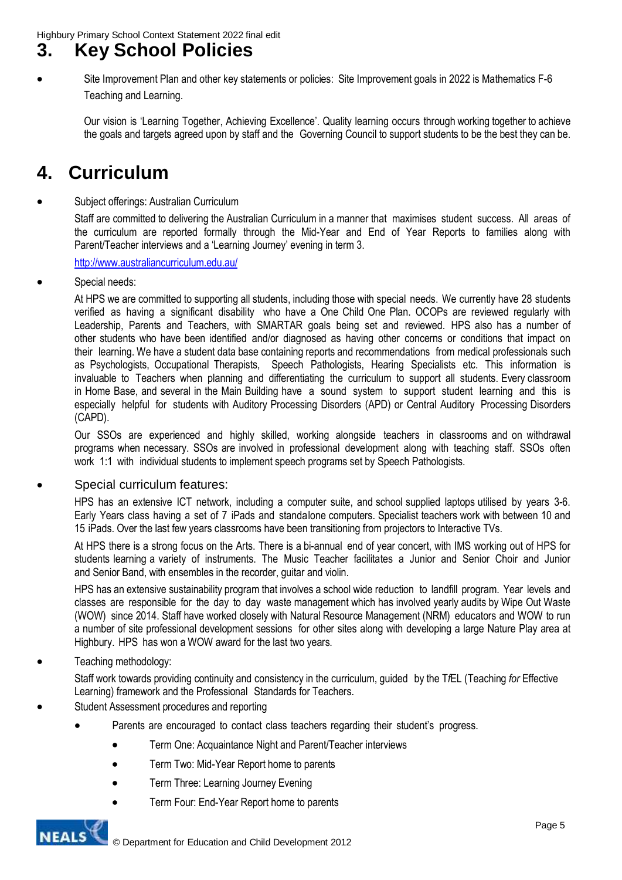## **3. Key School Policies**

 Site Improvement Plan and other key statements or policies: Site Improvement goals in 2022 is Mathematics F-6 Teaching and Learning.

Our vision is 'Learning Together, Achieving Excellence'. Quality learning occurs through working together to achieve the goals and targets agreed upon by staff and the Governing Council to support students to be the best they can be.

## **4. Curriculum**

#### Subject offerings: Australian Curriculum

Staff are committed to delivering the Australian Curriculum in a manner that maximises student success. All areas of the curriculum are reported formally through the Mid-Year and End of Year Reports to families along with Parent/Teacher interviews and a 'Learning Journey' evening in term 3.

<http://www.australiancurriculum.edu.au/>

Special needs:

At HPS we are committed to supporting all students, including those with special needs. We currently have 28 students verified as having a significant disability who have a One Child One Plan. OCOPs are reviewed regularly with Leadership, Parents and Teachers, with SMARTAR goals being set and reviewed. HPS also has a number of other students who have been identified and/or diagnosed as having other concerns or conditions that impact on their learning. We have a student data base containing reports and recommendations from medical professionals such as Psychologists, Occupational Therapists, Speech Pathologists, Hearing Specialists etc. This information is invaluable to Teachers when planning and differentiating the curriculum to support all students. Every classroom in Home Base, and several in the Main Building have a sound system to support student learning and this is especially helpful for students with Auditory Processing Disorders (APD) or Central Auditory Processing Disorders (CAPD).

Our SSOs are experienced and highly skilled, working alongside teachers in classrooms and on withdrawal programs when necessary. SSOs are involved in professional development along with teaching staff. SSOs often work 1:1 with individual students to implement speech programs set by Speech Pathologists.

### Special curriculum features:

HPS has an extensive ICT network, including a computer suite, and school supplied laptops utilised by years 3-6. Early Years class having a set of 7 iPads and standalone computers. Specialist teachers work with between 10 and 15 iPads. Over the last few years classrooms have been transitioning from projectors to Interactive TVs.

At HPS there is a strong focus on the Arts. There is a bi-annual end of year concert, with IMS working out of HPS for students learning a variety of instruments. The Music Teacher facilitates a Junior and Senior Choir and Junior and Senior Band, with ensembles in the recorder, guitar and violin.

HPS has an extensive sustainability program that involves a school wide reduction to landfill program. Year levels and classes are responsible for the day to day waste management which has involved yearly audits by Wipe Out Waste (WOW) since 2014. Staff have worked closely with Natural Resource Management (NRM) educators and WOW to run a number of site professional development sessions for other sites along with developing a large Nature Play area at Highbury. HPS has won a WOW award for the last two years.

Teaching methodology:

Staff work towards providing continuity and consistency in the curriculum, guided by the T*f*EL (Teaching *for* Effective Learning) framework and the Professional Standards for Teachers.

- Student Assessment procedures and reporting
	- Parents are encouraged to contact class teachers regarding their student's progress.
		- Term One: Acquaintance Night and Parent/Teacher interviews
		- Term Two: Mid-Year Report home to parents
		- Term Three: Learning Journey Evening
		- Term Four: End-Year Report home to parents

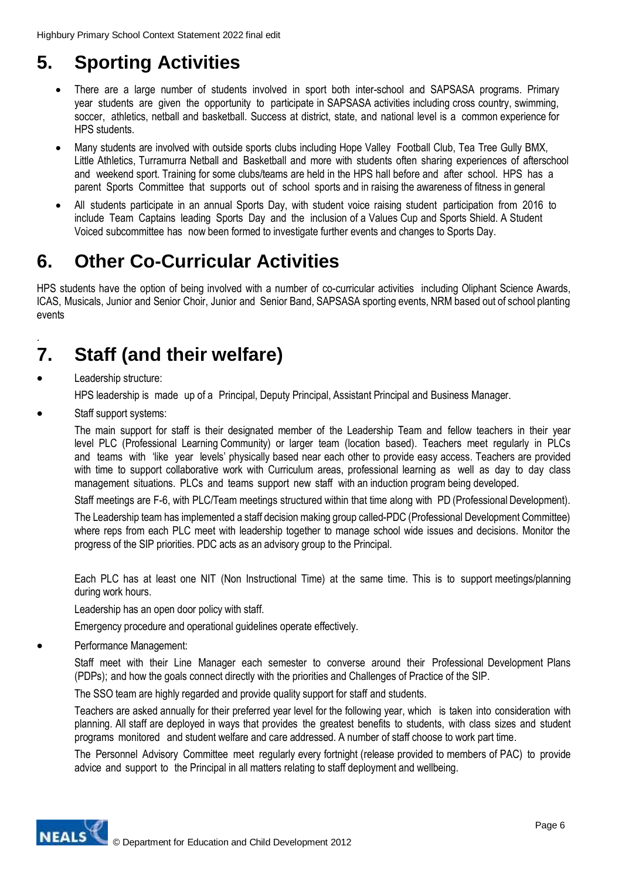# **5. Sporting Activities**

- There are a large number of students involved in sport both inter-school and SAPSASA programs. Primary year students are given the opportunity to participate in SAPSASA activities including cross country, swimming, soccer, athletics, netball and basketball. Success at district, state, and national level is a common experience for HPS students.
- Many students are involved with outside sports clubs including Hope Valley Football Club, Tea Tree Gully BMX, Little Athletics, Turramurra Netball and Basketball and more with students often sharing experiences of afterschool and weekend sport. Training for some clubs/teams are held in the HPS hall before and after school. HPS has a parent Sports Committee that supports out of school sports and in raising the awareness of fitness in general
- All students participate in an annual Sports Day, with student voice raising student participation from 2016 to include Team Captains leading Sports Day and the inclusion of a Values Cup and Sports Shield. A Student Voiced subcommittee has now been formed to investigate further events and changes to Sports Day.

# **6. Other Co-Curricular Activities**

HPS students have the option of being involved with a number of co-curricular activities including Oliphant Science Awards, ICAS, Musicals, Junior and Senior Choir, Junior and Senior Band, SAPSASA sporting events, NRM based out of school planting events

### . **7. Staff (and their welfare)**

- Leadership structure: HPS leadership is made up of a Principal, Deputy Principal, Assistant Principal and Business Manager.
- Staff support systems:

The main support for staff is their designated member of the Leadership Team and fellow teachers in their year level PLC (Professional Learning Community) or larger team (location based). Teachers meet regularly in PLCs and teams with 'like year levels' physically based near each other to provide easy access. Teachers are provided with time to support collaborative work with Curriculum areas, professional learning as well as day to day class management situations. PLCs and teams support new staff with an induction program being developed.

Staff meetings are F-6, with PLC/Team meetings structured within that time along with PD (Professional Development).

The Leadership team has implemented a staff decision making group called-PDC (Professional Development Committee) where reps from each PLC meet with leadership together to manage school wide issues and decisions. Monitor the progress of the SIP priorities. PDC acts as an advisory group to the Principal.

Each PLC has at least one NIT (Non Instructional Time) at the same time. This is to support meetings/planning during work hours.

Leadership has an open door policy with staff.

Emergency procedure and operational guidelines operate effectively.

Performance Management:

Staff meet with their Line Manager each semester to converse around their Professional Development Plans (PDPs); and how the goals connect directly with the priorities and Challenges of Practice of the SIP.

The SSO team are highly regarded and provide quality support for staff and students.

Teachers are asked annually for their preferred year level for the following year, which is taken into consideration with planning. All staff are deployed in ways that provides the greatest benefits to students, with class sizes and student programs monitored and student welfare and care addressed. A number of staff choose to work part time.

The Personnel Advisory Committee meet regularly every fortnight (release provided to members of PAC) to provide advice and support to the Principal in all matters relating to staff deployment and wellbeing.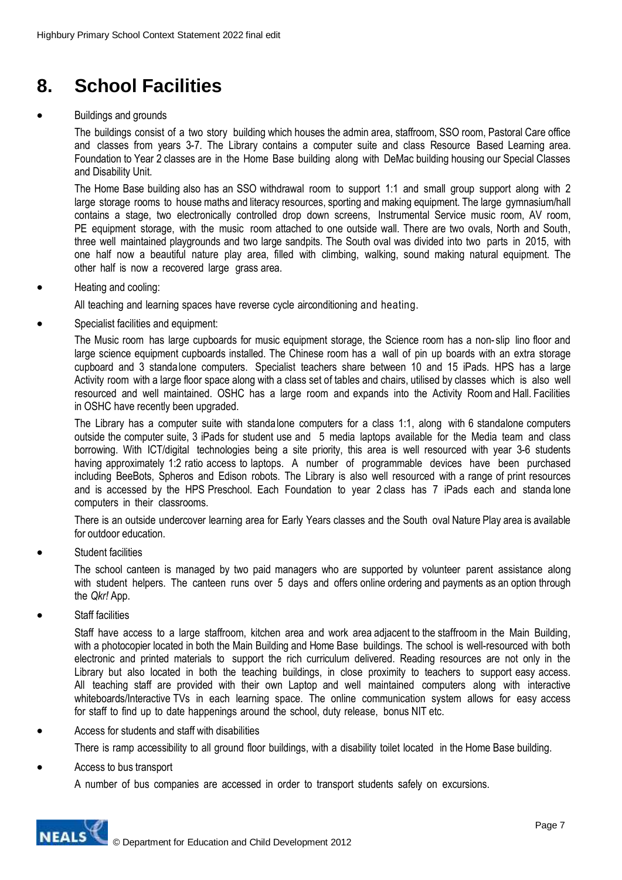# **8. School Facilities**

#### Buildings and grounds

The buildings consist of a two story building which houses the admin area, staffroom, SSO room, Pastoral Care office and classes from years 3-7. The Library contains a computer suite and class Resource Based Learning area. Foundation to Year 2 classes are in the Home Base building along with DeMac building housing our Special Classes and Disability Unit.

The Home Base building also has an SSO withdrawal room to support 1:1 and small group support along with 2 large storage rooms to house maths and literacy resources, sporting and making equipment. The large gymnasium/hall contains a stage, two electronically controlled drop down screens, Instrumental Service music room, AV room, PE equipment storage, with the music room attached to one outside wall. There are two ovals, North and South, three well maintained playgrounds and two large sandpits. The South oval was divided into two parts in 2015, with one half now a beautiful nature play area, filled with climbing, walking, sound making natural equipment. The other half is now a recovered large grass area.

Heating and cooling:

All teaching and learning spaces have reverse cycle airconditioning and heating.

Specialist facilities and equipment:

The Music room has large cupboards for music equipment storage, the Science room has a non- slip lino floor and large science equipment cupboards installed. The Chinese room has a wall of pin up boards with an extra storage cupboard and 3 standalone computers. Specialist teachers share between 10 and 15 iPads. HPS has a large Activity room with a large floor space along with a class set of tables and chairs, utilised by classes which is also well resourced and well maintained. OSHC has a large room and expands into the Activity Room and Hall. Facilities in OSHC have recently been upgraded.

The Library has a computer suite with standalone computers for a class 1:1, along with 6 standalone computers outside the computer suite, 3 iPads for student use and 5 media laptops available for the Media team and class borrowing. With ICT/digital technologies being a site priority, this area is well resourced with year 3-6 students having approximately 1:2 ratio access to laptops. A number of programmable devices have been purchased including BeeBots, Spheros and Edison robots. The Library is also well resourced with a range of print resources and is accessed by the HPS Preschool. Each Foundation to year 2 class has 7 iPads each and standa lone computers in their classrooms.

There is an outside undercover learning area for Early Years classes and the South oval Nature Play area is available for outdoor education.

Student facilities

The school canteen is managed by two paid managers who are supported by volunteer parent assistance along with student helpers. The canteen runs over 5 days and offers online ordering and payments as an option through the *Qkr!* App.

Staff facilities

Staff have access to a large staffroom, kitchen area and work area adjacent to the staffroom in the Main Building, with a photocopier located in both the Main Building and Home Base buildings. The school is well-resourced with both electronic and printed materials to support the rich curriculum delivered. Reading resources are not only in the Library but also located in both the teaching buildings, in close proximity to teachers to support easy access. All teaching staff are provided with their own Laptop and well maintained computers along with interactive whiteboards/Interactive TVs in each learning space. The online communication system allows for easy access for staff to find up to date happenings around the school, duty release, bonus NIT etc.

#### Access for students and staff with disabilities

There is ramp accessibility to all ground floor buildings, with a disability toilet located in the Home Base building.

Access to bus transport

A number of bus companies are accessed in order to transport students safely on excursions.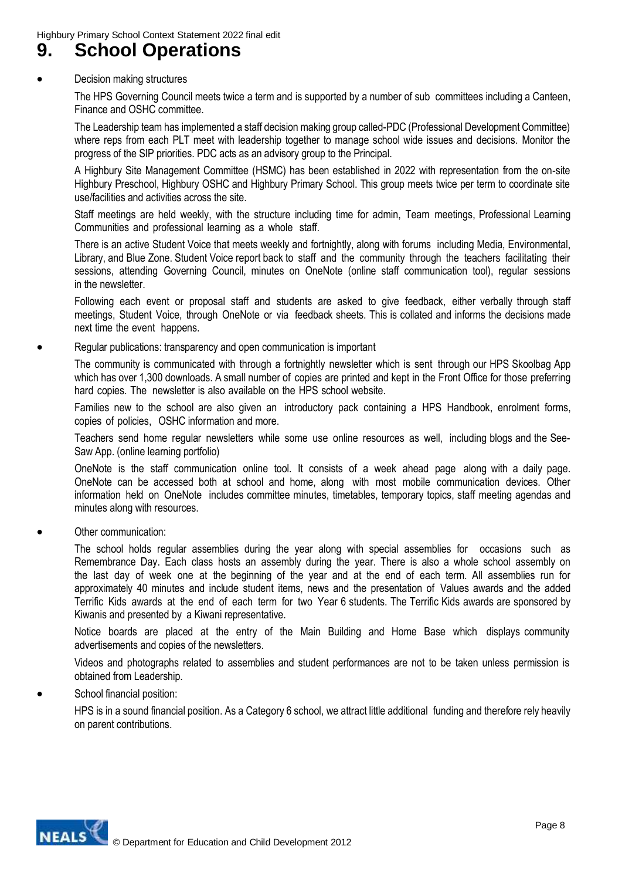### **9. School Operations**

#### Decision making structures

The HPS Governing Council meets twice a term and is supported by a number of sub committees including a Canteen, Finance and OSHC committee.

The Leadership team has implemented a staff decision making group called-PDC (Professional Development Committee) where reps from each PLT meet with leadership together to manage school wide issues and decisions. Monitor the progress of the SIP priorities. PDC acts as an advisory group to the Principal.

A Highbury Site Management Committee (HSMC) has been established in 2022 with representation from the on-site Highbury Preschool, Highbury OSHC and Highbury Primary School. This group meets twice per term to coordinate site use/facilities and activities across the site.

Staff meetings are held weekly, with the structure including time for admin, Team meetings, Professional Learning Communities and professional learning as a whole staff.

There is an active Student Voice that meets weekly and fortnightly, along with forums including Media, Environmental, Library, and Blue Zone. Student Voice report back to staff and the community through the teachers facilitating their sessions, attending Governing Council, minutes on OneNote (online staff communication tool), regular sessions in the newsletter.

Following each event or proposal staff and students are asked to give feedback, either verbally through staff meetings, Student Voice, through OneNote or via feedback sheets. This is collated and informs the decisions made next time the event happens.

Regular publications: transparency and open communication is important

The community is communicated with through a fortnightly newsletter which is sent through our HPS Skoolbag App which has over 1,300 downloads. A small number of copies are printed and kept in the Front Office for those preferring hard copies. The newsletter is also available on the HPS school website.

Families new to the school are also given an introductory pack containing a HPS Handbook, enrolment forms, copies of policies, OSHC information and more.

Teachers send home regular newsletters while some use online resources as well, including blogs and the See-Saw App. (online learning portfolio)

OneNote is the staff communication online tool. It consists of a week ahead page along with a daily page. OneNote can be accessed both at school and home, along with most mobile communication devices. Other information held on OneNote includes committee minutes, timetables, temporary topics, staff meeting agendas and minutes along with resources.

Other communication:

The school holds regular assemblies during the year along with special assemblies for occasions such as Remembrance Day. Each class hosts an assembly during the year. There is also a whole school assembly on the last day of week one at the beginning of the year and at the end of each term. All assemblies run for approximately 40 minutes and include student items, news and the presentation of Values awards and the added Terrific Kids awards at the end of each term for two Year 6 students. The Terrific Kids awards are sponsored by Kiwanis and presented by a Kiwani representative.

Notice boards are placed at the entry of the Main Building and Home Base which displays community advertisements and copies of the newsletters.

Videos and photographs related to assemblies and student performances are not to be taken unless permission is obtained from Leadership.

#### • School financial position:

HPS is in a sound financial position. As a Category 6 school, we attract little additional funding and therefore rely heavily on parent contributions.